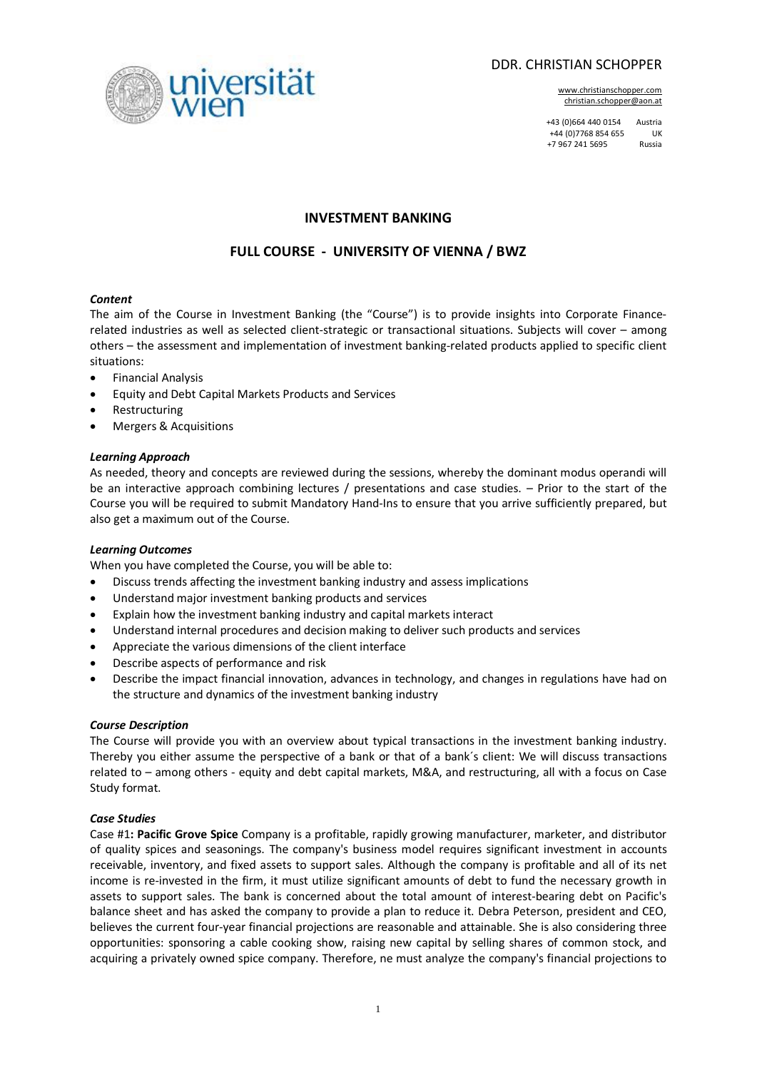

www.christianschopper.com christian.schopper@aon.at

+43 (0)664 440 0154 Austria +44 (0)7768 854 655 UK +7 967 241 5695 Russia



# **INVESTMENT BANKING**

# **FULL COURSE - UNIVERSITY OF VIENNA / BWZ**

## *Content*

The aim of the Course in Investment Banking (the "Course") is to provide insights into Corporate Financerelated industries as well as selected client-strategic or transactional situations. Subjects will cover – among others – the assessment and implementation of investment banking-related products applied to specific client situations:

- · Financial Analysis
- · Equity and Debt Capital Markets Products and Services
- **Restructuring**
- Mergers & Acquisitions

### *Learning Approach*

As needed, theory and concepts are reviewed during the sessions, whereby the dominant modus operandi will be an interactive approach combining lectures / presentations and case studies. – Prior to the start of the Course you will be required to submit Mandatory Hand-Ins to ensure that you arrive sufficiently prepared, but also get a maximum out of the Course.

### *Learning Outcomes*

When you have completed the Course, you will be able to:

- · Discuss trends affecting the investment banking industry and assess implications
- Understand major investment banking products and services
- · Explain how the investment banking industry and capital markets interact
- · Understand internal procedures and decision making to deliver such products and services
- Appreciate the various dimensions of the client interface
- Describe aspects of performance and risk
- · Describe the impact financial innovation, advances in technology, and changes in regulations have had on the structure and dynamics of the investment banking industry

### *Course Description*

The Course will provide you with an overview about typical transactions in the investment banking industry. Thereby you either assume the perspective of a bank or that of a bank´s client: We will discuss transactions related to – among others - equity and debt capital markets, M&A, and restructuring, all with a focus on Case Study format.

### *Case Studies*

Case #1**: Pacific Grove Spice** Company is a profitable, rapidly growing manufacturer, marketer, and distributor of quality spices and seasonings. The company's business model requires significant investment in accounts receivable, inventory, and fixed assets to support sales. Although the company is profitable and all of its net income is re-invested in the firm, it must utilize significant amounts of debt to fund the necessary growth in assets to support sales. The bank is concerned about the total amount of interest-bearing debt on Pacific's balance sheet and has asked the company to provide a plan to reduce it. Debra Peterson, president and CEO, believes the current four-year financial projections are reasonable and attainable. She is also considering three opportunities: sponsoring a cable cooking show, raising new capital by selling shares of common stock, and acquiring a privately owned spice company. Therefore, ne must analyze the company's financial projections to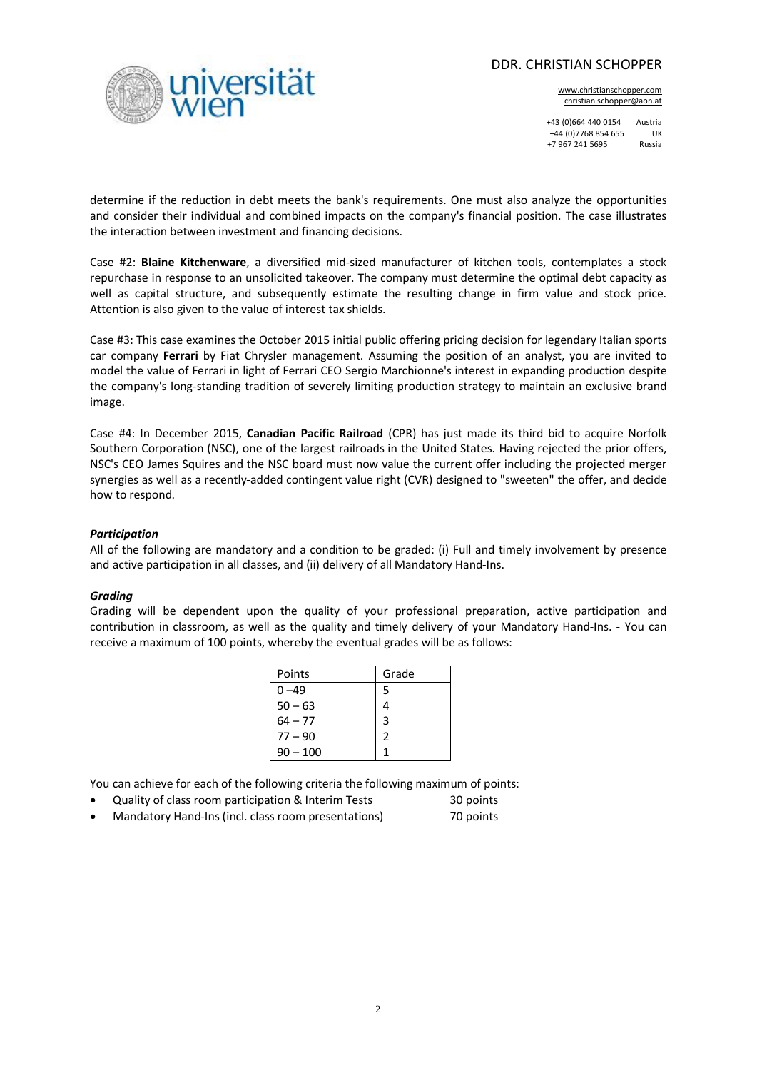## DDR. CHRISTIAN SCHOPPER

www.christianschopper.com christian.schopper@aon.at

+43 (0)664 440 0154 Austria +44 (0)7768 854 655 UK +7 967 241 5695 Russia

determine if the reduction in debt meets the bank's requirements. One must also analyze the opportunities and consider their individual and combined impacts on the company's financial position. The case illustrates the interaction between investment and financing decisions.

ersität

Case #2: **Blaine Kitchenware**, a diversified mid-sized manufacturer of kitchen tools, contemplates a stock repurchase in response to an unsolicited takeover. The company must determine the optimal debt capacity as well as capital structure, and subsequently estimate the resulting change in firm value and stock price. Attention is also given to the value of interest tax shields.

Case #3: This case examines the October 2015 initial public offering pricing decision for legendary Italian sports car company **Ferrari** by Fiat Chrysler management. Assuming the position of an analyst, you are invited to model the value of Ferrari in light of Ferrari CEO Sergio Marchionne's interest in expanding production despite the company's long-standing tradition of severely limiting production strategy to maintain an exclusive brand image.

Case #4: In December 2015, **Canadian Pacific Railroad** (CPR) has just made its third bid to acquire Norfolk Southern Corporation (NSC), one of the largest railroads in the United States. Having rejected the prior offers, NSC's CEO James Squires and the NSC board must now value the current offer including the projected merger synergies as well as a recently-added contingent value right (CVR) designed to "sweeten" the offer, and decide how to respond.

### *Participation*

All of the following are mandatory and a condition to be graded: (i) Full and timely involvement by presence and active participation in all classes, and (ii) delivery of all Mandatory Hand-Ins.

#### *Grading*

Grading will be dependent upon the quality of your professional preparation, active participation and contribution in classroom, as well as the quality and timely delivery of your Mandatory Hand-Ins. - You can receive a maximum of 100 points, whereby the eventual grades will be as follows:

| Points     | Grade         |
|------------|---------------|
| በ –49      | 5             |
| $50 - 63$  |               |
| $64 - 77$  | 3             |
| $77 - 90$  | $\mathcal{P}$ |
| $90 - 100$ |               |

You can achieve for each of the following criteria the following maximum of points:

- Quality of class room participation & Interim Tests 30 points
- Mandatory Hand-Ins (incl. class room presentations) 70 points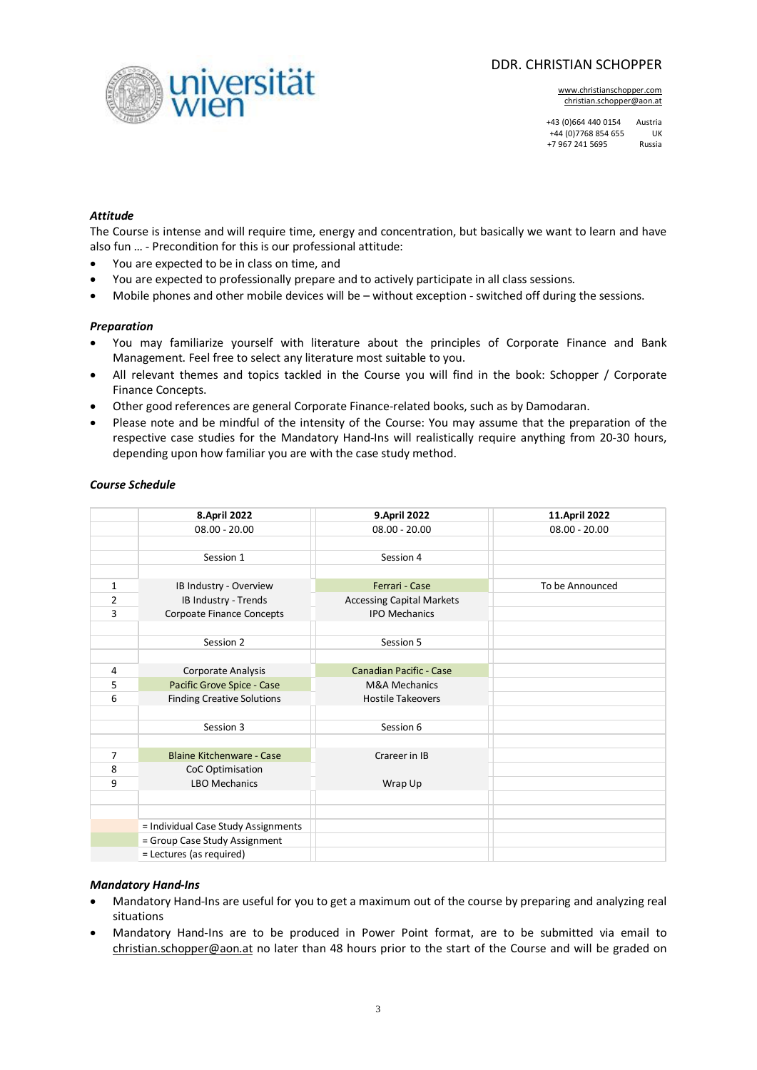# DDR. CHRISTIAN SCHOPPER

www.christianschopper.com christian.schopper@aon.at

+43 (0)664 440 0154 Austria +44 (0)7768 854 655 UK +7 967 241 5695 Russia

### *Attitude*

The Course is intense and will require time, energy and concentration, but basically we want to learn and have also fun … - Precondition for this is our professional attitude:

· You are expected to be in class on time, and

iversität

- · You are expected to professionally prepare and to actively participate in all class sessions.
- Mobile phones and other mobile devices will be without exception switched off during the sessions.

#### *Preparation*

- · You may familiarize yourself with literature about the principles of Corporate Finance and Bank Management. Feel free to select any literature most suitable to you.
- · All relevant themes and topics tackled in the Course you will find in the book: Schopper / Corporate Finance Concepts.
- · Other good references are general Corporate Finance-related books, such as by Damodaran.
- · Please note and be mindful of the intensity of the Course: You may assume that the preparation of the respective case studies for the Mandatory Hand-Ins will realistically require anything from 20-30 hours, depending upon how familiar you are with the case study method.

#### *Course Schedule*

|                | 8. April 2022                       | 9. April 2022                    | 11. April 2022  |
|----------------|-------------------------------------|----------------------------------|-----------------|
|                | $08.00 - 20.00$                     | $08.00 - 20.00$                  | $08.00 - 20.00$ |
|                |                                     |                                  |                 |
|                | Session 1                           | Session 4                        |                 |
|                |                                     |                                  |                 |
| 1              | IB Industry - Overview              | Ferrari - Case                   | To be Announced |
| 2              | IB Industry - Trends                | <b>Accessing Capital Markets</b> |                 |
| 3              | Corpoate Finance Concepts           | <b>IPO Mechanics</b>             |                 |
|                |                                     |                                  |                 |
|                | Session 2                           | Session 5                        |                 |
|                |                                     |                                  |                 |
| 4              | Corporate Analysis                  | <b>Canadian Pacific - Case</b>   |                 |
| 5              | Pacific Grove Spice - Case          | <b>M&amp;A Mechanics</b>         |                 |
| 6              | <b>Finding Creative Solutions</b>   | <b>Hostile Takeovers</b>         |                 |
|                |                                     |                                  |                 |
|                | Session 3                           | Session 6                        |                 |
|                |                                     |                                  |                 |
| $\overline{7}$ | <b>Blaine Kitchenware - Case</b>    | Crareer in IB                    |                 |
| 8              | CoC Optimisation                    |                                  |                 |
| 9              | <b>LBO Mechanics</b>                | Wrap Up                          |                 |
|                |                                     |                                  |                 |
|                |                                     |                                  |                 |
|                | = Individual Case Study Assignments |                                  |                 |
|                | = Group Case Study Assignment       |                                  |                 |
|                | = Lectures (as required)            |                                  |                 |

## *Mandatory Hand-Ins*

- · Mandatory Hand-Ins are useful for you to get a maximum out of the course by preparing and analyzing real situations
- · Mandatory Hand-Ins are to be produced in Power Point format, are to be submitted via email to [christian.schopper@aon.at](mailto:christian.schopper@aon.at) no later than 48 hours prior to the start of the Course and will be graded on